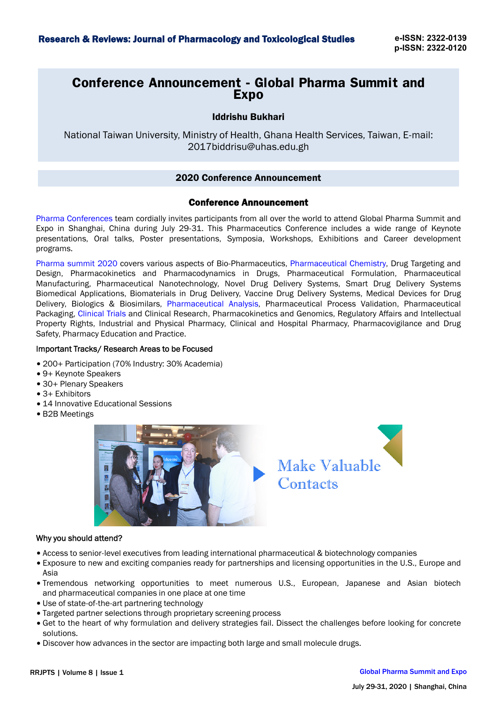# **Conference Announcement - Global Pharma Summit and Expo**

### Iddrishu Bukhari

National Taiwan University, Ministry of Health, Ghana Health Services, Taiwan, E-mail: 2017biddrisu@uhas.edu.gh

### 2020 Conference Announcement

### Conference Announcement

Pharma [Conferences](https://globalpharmasummit.conferenceseries.com/) team cordially invites participants from all over the world to attend Global Pharma Summit and Expo in Shanghai, China during July 29-31. This Pharmaceutics Conference includes a wide range of Keynote presentations, Oral talks, Poster presentations, Symposia, Workshops, Exhibitions and Career development programs.

[Pharma summit 2020](https://globalpharmasummit.conferenceseries.com/) covers various aspects of Bio-Pharmaceutics, [Pharmaceutical Chemistry](https://globalpharmasummit.conferenceseries.com/), Drug Targeting and Design, Pharmacokinetics and Pharmacodynamics in Drugs, Pharmaceutical Formulation, Pharmaceutical Manufacturing, Pharmaceutical Nanotechnology, Novel Drug Delivery Systems, Smart Drug Delivery Systems Biomedical Applications, Biomaterials in Drug Delivery, Vaccine Drug Delivery Systems, Medical Devices for Drug Delivery, Biologics & Biosimilars, [Pharmaceutical Analysis](https://globalpharmasummit.conferenceseries.com/), Pharmaceutical Process Validation, Pharmaceutical Packaging, [Clinical Trials](https://globalpharmasummit.conferenceseries.com/) and Clinical Research, Pharmacokinetics and Genomics, Regulatory Affairs and Intellectual Property Rights, Industrial and Physical Pharmacy, Clinical and Hospital Pharmacy, Pharmacovigilance and Drug Safety, Pharmacy Education and Practice.

## Important Tracks/ Research Areas to be Focused

- 200+ Participation (70% Industry: 30% Academia)
- 9+ Keynote Speakers
- 30+ Plenary Speakers
- 3+ Exhibitors
- 14 Innovative Educational Sessions
- B2B Meetings





### Why you should attend?

- Access to senior-level executives from leading international pharmaceutical & biotechnology companies
- Exposure to new and exciting companies ready for partnerships and licensing opportunities in the U.S., Europe and Asia
- Tremendous networking opportunities to meet numerous U.S., European, Japanese and Asian biotech and pharmaceutical companies in one place at one time
- Use of state-of-the-art partnering technology
- Targeted partner selections through proprietary screening process
- Get to the heart of why formulation and delivery strategies fail. Dissect the challenges before looking for concrete solutions.
- Discover how advances in the sector are impacting both large and small molecule drugs.

# RRJPTS | Volume 8 | Issue 1 [Global Pharma Summit and Expo](https://globalpharmasummit.conferenceseries.com/)